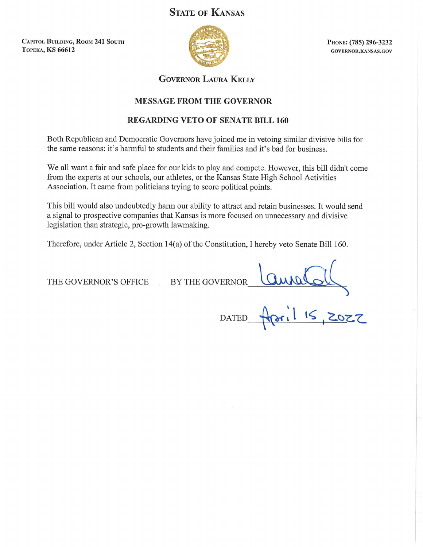# **STATE OF KANSAS**

**CAPITOL BUILDING, ROOM 241 SOUTH ТОРЕКА, KS 66612** 



PHONE: (785) 296-3232 GOVERNOR.KANSAS.GOV

**GOVERNOR LAURA KELLY** 

### **MESSAGE FROM THE GOVERNOR**

## **REGARDING VETO OF SENATE BILL 160**

Both Republican and Democratic Governors have joined me in vetoing similar divisive bills for the same reasons: it's harmful to students and their families and it's bad for business.

We all want a fair and safe place for our kids to play and compete. However, this bill didn't come from the experts at our schools, our athletes, or the Kansas State High School Activities Association. It came from politicians trying to score political points.

This bill would also undoubtedly harm our ability to attract and retain businesses. It would send a signal to prospective companies that Kansas is more focused on unnecessary and divisive legislation than strategic, pro-growth lawmaking.

Therefore, under Article 2, Section 14(a) of the Constitution, I hereby veto Senate Bill 160.

THE GOVERNOR'S OFFICE

BY THE GOVERNOR

VERNOR COMMOLally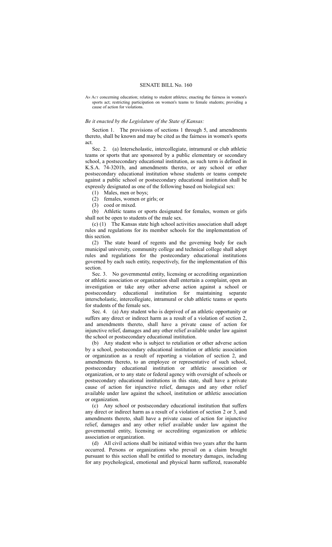#### SENATE BILL No. 160

AN ACT concerning education; relating to student athletes; enacting the fairness in women's sports act; restricting participation on women's teams to female students; providing a cause of action for violations.

#### *Be it enacted by the Legislature of the State of Kansas:*

Section 1. The provisions of sections 1 through 5, and amendments thereto, shall be known and may be cited as the fairness in women's sports act.

Sec. 2. (a) Interscholastic, intercollegiate, intramural or club athletic teams or sports that are sponsored by a public elementary or secondary school, a postsecondary educational institution, as such term is defined in K.S.A. 74-3201b, and amendments thereto, or any school or other postsecondary educational institution whose students or teams compete against a public school or postsecondary educational institution shall be expressly designated as one of the following based on biological sex:

(1) Males, men or boys;

(2) females, women or girls; or

(3) coed or mixed.

(b) Athletic teams or sports designated for females, women or girls shall not be open to students of the male sex.

(c) (1) The Kansas state high school activities association shall adopt rules and regulations for its member schools for the implementation of this section.

(2) The state board of regents and the governing body for each municipal university, community college and technical college shall adopt rules and regulations for the postecondary educational institutions governed by each such entity, respectively, for the implementation of this section.

Sec. 3. No governmental entity, licensing or accrediting organization or athletic association or organization shall entertain a complaint, open an investigation or take any other adverse action against a school or postsecondary educational institution for maintaining separate interscholastic, intercollegiate, intramural or club athletic teams or sports for students of the female sex.

Sec. 4. (a) Any student who is deprived of an athletic opportunity or suffers any direct or indirect harm as a result of a violation of section 2, and amendments thereto, shall have a private cause of action for injunctive relief, damages and any other relief available under law against the school or postsecondary educational institution.

(b) Any student who is subject to retaliation or other adverse action by a school, postsecondary educational institution or athletic association or organization as a result of reporting a violation of section 2, and amendments thereto, to an employee or representative of such school, postsecondary educational institution or athletic association or organization, or to any state or federal agency with oversight of schools or postsecondary educational institutions in this state, shall have a private cause of action for injunctive relief, damages and any other relief available under law against the school, institution or athletic association or organization.

(c) Any school or postsecondary educational institution that suffers any direct or indirect harm as a result of a violation of section 2 or 3, and amendments thereto, shall have a private cause of action for injunctive relief, damages and any other relief available under law against the governmental entity, licensing or accrediting organization or athletic association or organization.

(d) All civil actions shall be initiated within two years after the harm occurred. Persons or organizations who prevail on a claim brought pursuant to this section shall be entitled to monetary damages, including for any psychological, emotional and physical harm suffered, reasonable